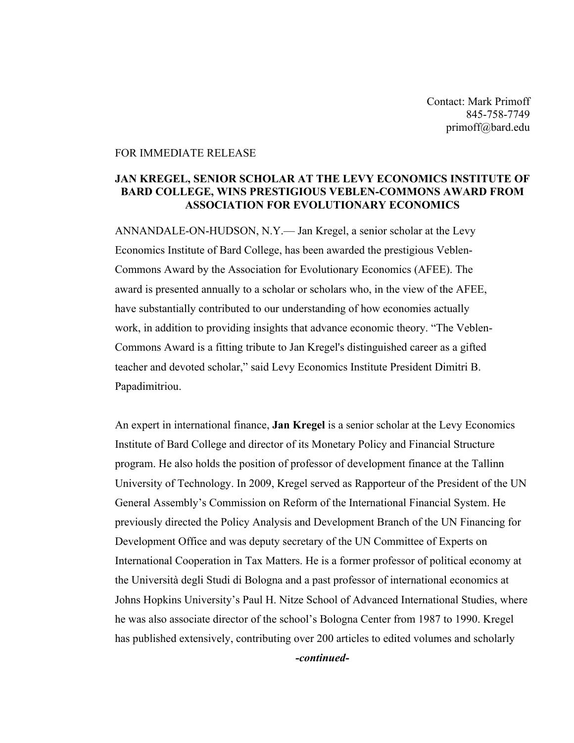Contact: Mark Primoff 845-758-7749 primoff@bard.edu

## FOR IMMEDIATE RELEASE

## **JAN KREGEL, SENIOR SCHOLAR AT THE LEVY ECONOMICS INSTITUTE OF BARD COLLEGE, WINS PRESTIGIOUS VEBLEN-COMMONS AWARD FROM ASSOCIATION FOR EVOLUTIONARY ECONOMICS**

ANNANDALE-ON-HUDSON, N.Y.— Jan Kregel, a senior scholar at the Levy Economics Institute of Bard College, has been awarded the prestigious Veblen-Commons Award by the Association for Evolutionary Economics (AFEE). The award is presented annually to a scholar or scholars who, in the view of the AFEE, have substantially contributed to our understanding of how economies actually work, in addition to providing insights that advance economic theory. "The Veblen-Commons Award is a fitting tribute to Jan Kregel's distinguished career as a gifted teacher and devoted scholar," said Levy Economics Institute President Dimitri B. Papadimitriou.

An expert in international finance, **Jan Kregel** is a senior scholar at the Levy Economics Institute of Bard College and director of its Monetary Policy and Financial Structure program. He also holds the position of professor of development finance at the Tallinn University of Technology. In 2009, Kregel served as Rapporteur of the President of the UN General Assembly's Commission on Reform of the International Financial System. He previously directed the Policy Analysis and Development Branch of the UN Financing for Development Office and was deputy secretary of the UN Committee of Experts on International Cooperation in Tax Matters. He is a former professor of political economy at the Università degli Studi di Bologna and a past professor of international economics at Johns Hopkins University's Paul H. Nitze School of Advanced International Studies, where he was also associate director of the school's Bologna Center from 1987 to 1990. Kregel has published extensively, contributing over 200 articles to edited volumes and scholarly *-continued-*